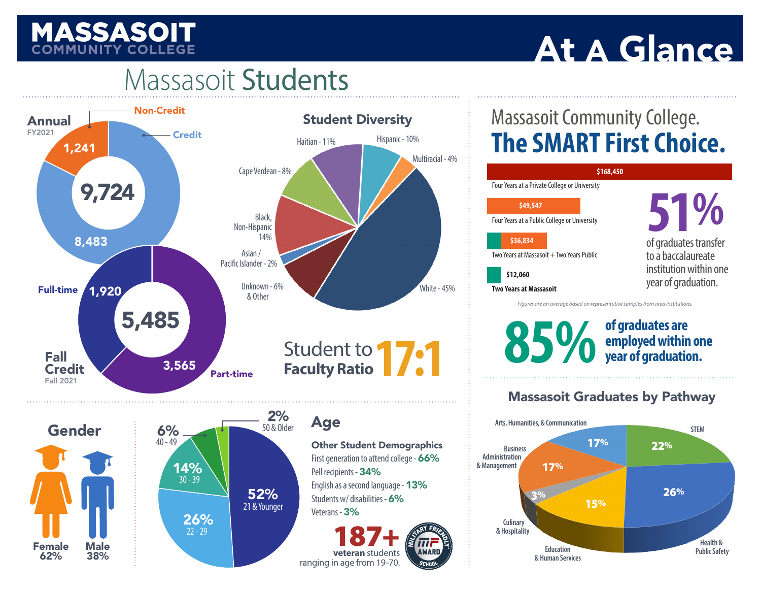# **MASSASOIT**

# At A Glance

# Massasoit Students



## Massasoit Community College. **The SMART First Choice.**



**example 10 SOS SOS** of graduates are employed within one year of graduation.

## Massasoit Graduates by Pathway